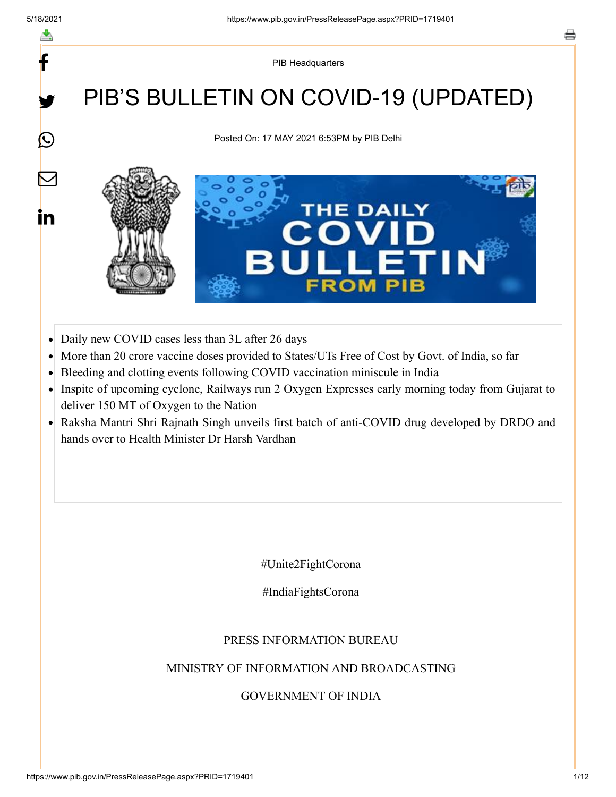f

y.

 $\bigcirc$ 

 $\bm{\nabla}$ 

in

PIB Headquarters

# PIB'S BULLETIN ON COVID-19 (UPDATED)

Posted On: 17 MAY 2021 6:53PM by PIB Delhi



- Daily new COVID cases less than 3L after 26 days  $\bullet$
- More than 20 crore vaccine doses provided to States/UTs Free of Cost by Govt. of India, so far  $\bullet$
- Bleeding and clotting events following COVID vaccination miniscule in India
- Inspite of upcoming cyclone, Railways run 2 Oxygen Expresses early morning today from Gujarat to deliver 150 MT of Oxygen to the Nation
- Raksha Mantri Shri Rajnath Singh unveils first batch of anti-COVID drug developed by DRDO and hands over to Health Minister Dr Harsh Vardhan

#Unite2FightCorona

#IndiaFightsCorona

#### PRESS INFORMATION BUREAU

#### MINISTRY OF INFORMATION AND BROADCASTING

#### GOVERNMENT OF INDIA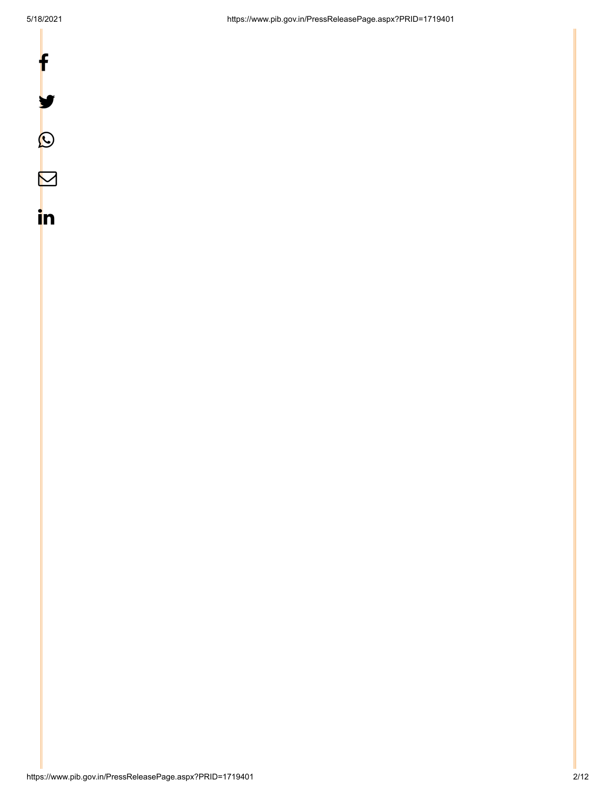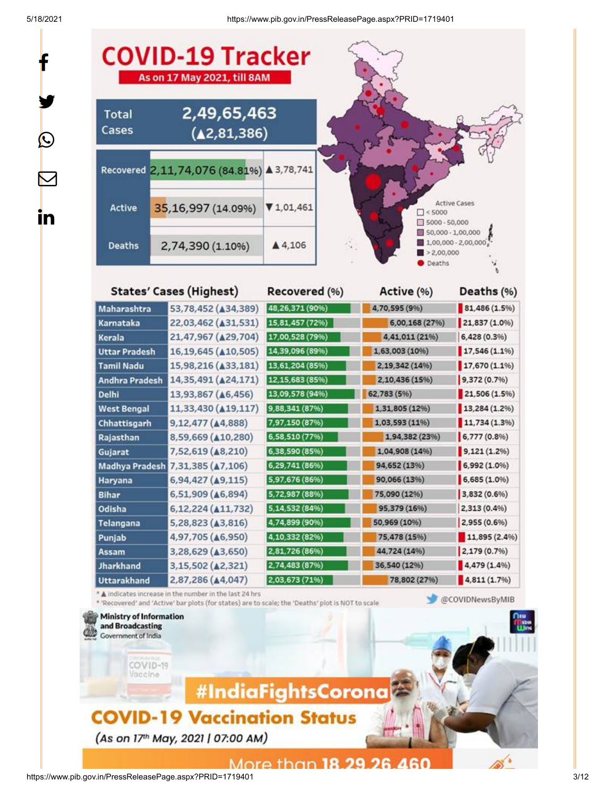f

y.

 $\bigcirc$ 

 $\sum$ 

in

5/18/2021 https://www.pib.gov.in/PressReleasePage.aspx?PRID=1719401



**States' Cases (Highest)** 

Recovered (%)

Active (%) Deaths (%)

| Maharashtra        | 53,78,452 (434,389)             | 48,26,371 (90%) | 4,70,595(990)  | $(1.5\%)$       |
|--------------------|---------------------------------|-----------------|----------------|-----------------|
| Karnataka          | 22,03,462 (431,531)             | 15,81,457 (72%) | 6,00,168 (27%) | 21,837 (1.0%)   |
| Kerala             | 21,47,967 (429,704)             | 17,00,528 (79%) | 4,41,011 (21%) | 6,428 (0.3%)    |
| Uttar Pradesh      | 16,19,645 ( $\triangle$ 10,505) | 14,39,096 (89%) | 1,63,003 (10%) | 17,546 (1.1%)   |
| <b>Tamil Nadu</b>  | 15,98,216 ( $\triangle$ 33,181) | 13,61,204 (85%) | 2,19,342 (14%) | 17,670 (1.1%)   |
| Andhra Pradesh     | 14,35,491 ( $\triangle$ 24,171) | 12,15,683 (85%) | 2,10,436 (15%) | 9,372 (0.7%)    |
| Delhi              | 13,93,867 ( $\triangle$ 6,456)  | 13,09,578 (94%) | 62,783 (5%)    | 21,506(1.5%)    |
| West Bengal        | 11,33,430 (419,117)             | 9,88,341 (87%)  | 1,31,805 (12%) | 13,284 (1.2%)   |
| Chhattisgarh       | 9,12,477 (44,888)               | 7,97,150 (87%)  | 1,03,593 (11%) | 11,734(1.3%     |
| Rajasthan          | 8,59,669 (410,280)              | 6,58,510 (77%)  | 1,94,382 (23%) | 6,777 (0.8%)    |
| Gujarat            | 7,52,619 (48,210)               | 6,38,590 (85%)  | 1,04,908 (14%) | 9,121(1.2%)     |
| Madhya Pradesh     | 7,31,385 (A7,106)               | 6,29,741 (86%)  | 94,652 (13%)   | 6,992 (1.0%)    |
| Haryana            | 6,94,427 (49,115)               | 5,97,676 (86%)  | 90,066 (13%)   | 6,685(1.0%)     |
| <b>Bihar</b>       | 6,51,909 (46,894)               | 5,72,987 (88%)  | 75,090 (12%)   | 3,832 (0.6%)    |
| Odisha             | 6,12,224 ( $\triangle$ 11,732)  | 5,14,532 (84%)  | 95,379 (16%)   | 2,313 (0.4%)    |
| Telangana          | 5,28,823 (43,816)               | 4,74,899 (90%)  | 50,969 (10%)   | $2,955(0.6\%)$  |
| Punjab             | 4,97,705 ( $\triangle$ 6,950)   | 4,10,332 (82%)  | 75,478 (15%)   | $11,895(2.4\%)$ |
| Assam              | 3,28,629 (43,650)               | 2,81,726 (86%)  | 44,724 (14%)   | 2,179(0.7%)     |
| <b>Jharkhand</b>   | 3,15,502 (42,321)               | 2,74,483 (87%)  | 36,540 (12%)   | 4,479 (1.4%)    |
| <b>Uttarakhand</b> | 2,87,286 (A4,047)               | 2,03,673 (71%)  | 78,802 (27%)   | 4,811 (1.7%)    |
|                    |                                 |                 |                |                 |

\* A indicates increase in the number in the last 24 hrs

\* 'Recovered' and 'Active' bar plots (for states) are to scale; the 'Deaths' plot is NOT to scale

@COVIDNewsByMIB

**Ministry of Information** and Broadcasting

> COVID-19 Vaccine

Government of India

#IndiaFightsCorona **COVID-19 Vaccination Status** (As on 17th May, 2021 | 07:00 AM)

More than 18.29.26.460 https://www.pib.gov.in/PressReleasePage.aspx?PRID=1719401 3/12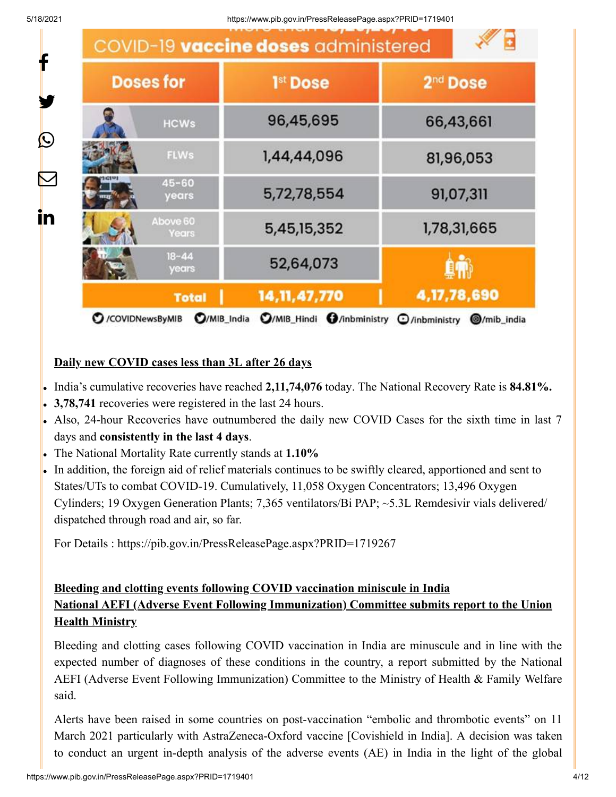5/18/2021 https://www.pib.gov.in/PressReleasePage.aspx?PRID=1719401

| 96,45,695   | 66,43,661   |
|-------------|-------------|
|             |             |
| 1,44,44,096 | 81,96,053   |
| 5,72,78,554 | 91,07,311   |
| 5,45,15,352 | 1,78,31,665 |
| 52,64,073   | 9.M         |
|             |             |

#### **Daily new COVID cases less than 3L after 26 days**

- India's cumulative recoveries have reached **2,11,74,076** today. The National Recovery Rate is **84.81%.**
- **3,78,741** recoveries were registered in the last 24 hours.
- Also, 24-hour Recoveries have outnumbered the daily new COVID Cases for the sixth time in last 7 days and **consistently in the last 4 days**.
- The National Mortality Rate currently stands at **1.10%**
- In addition, the foreign aid of relief materials continues to be swiftly cleared, apportioned and sent to States/UTs to combat COVID-19. Cumulatively, 11,058 Oxygen Concentrators; 13,496 Oxygen Cylinders; 19 Oxygen Generation Plants; 7,365 ventilators/Bi PAP; ~5.3L Remdesivir vials delivered/ dispatched through road and air, so far.

For Details : <https://pib.gov.in/PressReleasePage.aspx?PRID=1719267>

#### **Bleeding and clotting events following COVID vaccination miniscule in India National AEFI (Adverse Event Following Immunization) Committee submits report to the Union Health Ministry**

Bleeding and clotting cases following COVID vaccination in India are minuscule and in line with the expected number of diagnoses of these conditions in the country, a report submitted by the National AEFI (Adverse Event Following Immunization) Committee to the Ministry of Health & Family Welfare said.

Alerts have been raised in some countries on post-vaccination "embolic and thrombotic events" on 11 March 2021 particularly with AstraZeneca-Oxford vaccine [Covishield in India]. A decision was taken to conduct an urgent in-depth analysis of the adverse events (AE) in India in the light of the global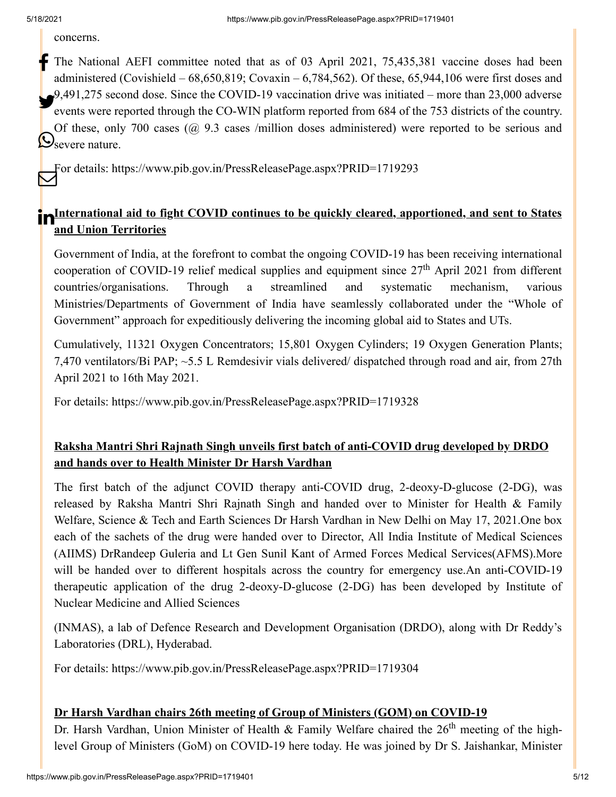concerns.

The National AEFI committee noted that as of 03 April 2021, 75,435,381 vaccine doses had been administered (Covishield –  $68,650,819$ ; Covaxin –  $6,784,562$ ). Of these,  $65,944,106$  were first doses and 9,491,275 second dose. Since the COVID-19 vaccination drive was initiated – more than 23,000 adverse events were reported through the CO-WIN platform reported from 684 of the 753 districts of the country. Of these, only 700 cases  $(Q)$  9.3 cases /million doses administered) were reported to be serious and  $\sum_{\text{severe nature}}$ . f

For details:<https://www.pib.gov.in/PressReleasePage.aspx?PRID=1719293>

#### **International aid to fight COVID continues to be quickly cleared, apportioned, and sent to States and Union Territories**

Government of India, at the forefront to combat the ongoing COVID-19 has been receiving international cooperation of COVID-19 relief medical supplies and equipment since  $27<sup>th</sup>$  April 2021 from different countries/organisations. Through a streamlined and systematic mechanism, various Ministries/Departments of Government of India have seamlessly collaborated under the "Whole of Government" approach for expeditiously delivering the incoming global aid to States and UTs.

Cumulatively, 11321 Oxygen Concentrators; 15,801 Oxygen Cylinders; 19 Oxygen Generation Plants; 7,470 ventilators/Bi PAP; ~5.5 L Remdesivir vials delivered/ dispatched through road and air, from 27th April 2021 to 16th May 2021.

For details:<https://www.pib.gov.in/PressReleasePage.aspx?PRID=1719328>

#### **Raksha Mantri Shri Rajnath Singh unveils first batch of anti-COVID drug developed by DRDO and hands over to Health Minister Dr Harsh Vardhan**

The first batch of the adjunct COVID therapy anti-COVID drug, 2-deoxy-D-glucose (2-DG), was released by Raksha Mantri Shri Rajnath Singh and handed over to Minister for Health & Family Welfare, Science & Tech and Earth Sciences Dr Harsh Vardhan in New Delhi on May 17, 2021.One box each of the sachets of the drug were handed over to Director, All India Institute of Medical Sciences (AIIMS) DrRandeep Guleria and Lt Gen Sunil Kant of Armed Forces Medical Services(AFMS).More will be handed over to different hospitals across the country for emergency use.An anti-COVID-19 therapeutic application of the drug 2-deoxy-D-glucose (2-DG) has been developed by Institute of Nuclear Medicine and Allied Sciences

(INMAS), a lab of Defence Research and Development Organisation (DRDO), along with Dr Reddy's Laboratories (DRL), Hyderabad.

For details:<https://www.pib.gov.in/PressReleasePage.aspx?PRID=1719304>

#### **Dr Harsh Vardhan chairs 26th meeting of Group of Ministers (GOM) on COVID-19**

Dr. Harsh Vardhan, Union Minister of Health & Family Welfare chaired the 26<sup>th</sup> meeting of the highlevel Group of Ministers (GoM) on COVID-19 here today. He was joined by Dr S. Jaishankar, Minister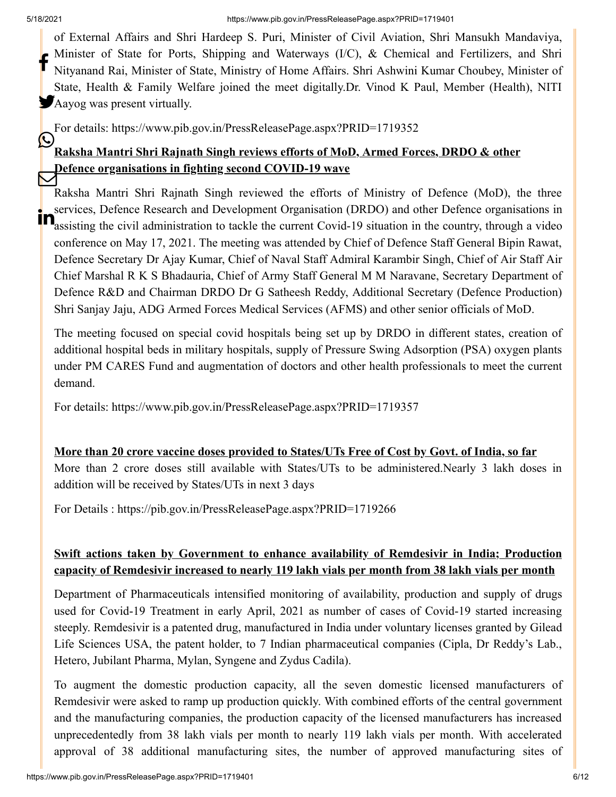of External Affairs and Shri Hardeep S. Puri, Minister of Civil Aviation, Shri Mansukh Mandaviya, Minister of State for Ports, Shipping and Waterways (I/C), & Chemical and Fertilizers, and Shri Nityanand Rai, Minister of State, Ministry of Home Affairs. Shri Ashwini Kumar Choubey, Minister of State, Health & Family Welfare joined the meet digitally.Dr. Vinod K Paul, Member (Health), NITI Aayog was present virtually. f

For details:<https://www.pib.gov.in/PressReleasePage.aspx?PRID=1719352> (C)

## **Raksha Mantri Shri Rajnath Singh reviews efforts of MoD, Armed Forces, DRDO & other Defence organisations in fighting second COVID-19 wave**

Raksha Mantri Shri Rajnath Singh reviewed the efforts of Ministry of Defence (MoD), the three services, Defence Research and Development Organisation (DRDO) and other Defence organisations in **Asseut and Services**, Defence Research and Development Organisation (DRDO) and other Defence organisations in a<br>assisting the civil administration to tackle the current Covid-19 situation in the country, through a video conference on May 17, 2021. The meeting was attended by Chief of Defence Staff General Bipin Rawat, Defence Secretary Dr Ajay Kumar, Chief of Naval Staff Admiral Karambir Singh, Chief of Air Staff Air Chief Marshal R K S Bhadauria, Chief of Army Staff General M M Naravane, Secretary Department of Defence R&D and Chairman DRDO Dr G Satheesh Reddy, Additional Secretary (Defence Production) Shri Sanjay Jaju, ADG Armed Forces Medical Services (AFMS) and other senior officials of MoD.

The meeting focused on special covid hospitals being set up by DRDO in different states, creation of additional hospital beds in military hospitals, supply of Pressure Swing Adsorption (PSA) oxygen plants under PM CARES Fund and augmentation of doctors and other health professionals to meet the current demand.

For details:<https://www.pib.gov.in/PressReleasePage.aspx?PRID=1719357>

#### **More than 20 crore vaccine doses provided to States/UTs Free of Cost by Govt. of India, so far**

More than 2 crore doses still available with States/UTs to be administered.Nearly 3 lakh doses in addition will be received by States/UTs in next 3 days

For Details : <https://pib.gov.in/PressReleasePage.aspx?PRID=1719266>

#### **Swift actions taken by Government to enhance availability of Remdesivir in India; Production capacity of Remdesivir increased to nearly 119 lakh vials per month from 38 lakh vials per month**

Department of Pharmaceuticals intensified monitoring of availability, production and supply of drugs used for Covid-19 Treatment in early April, 2021 as number of cases of Covid-19 started increasing steeply. Remdesivir is a patented drug, manufactured in India under voluntary licenses granted by Gilead Life Sciences USA, the patent holder, to 7 Indian pharmaceutical companies (Cipla, Dr Reddy's Lab., Hetero, Jubilant Pharma, Mylan, Syngene and Zydus Cadila).

To augment the domestic production capacity, all the seven domestic licensed manufacturers of Remdesivir were asked to ramp up production quickly. With combined efforts of the central government and the manufacturing companies, the production capacity of the licensed manufacturers has increased unprecedentedly from 38 lakh vials per month to nearly 119 lakh vials per month. With accelerated approval of 38 additional manufacturing sites, the number of approved manufacturing sites of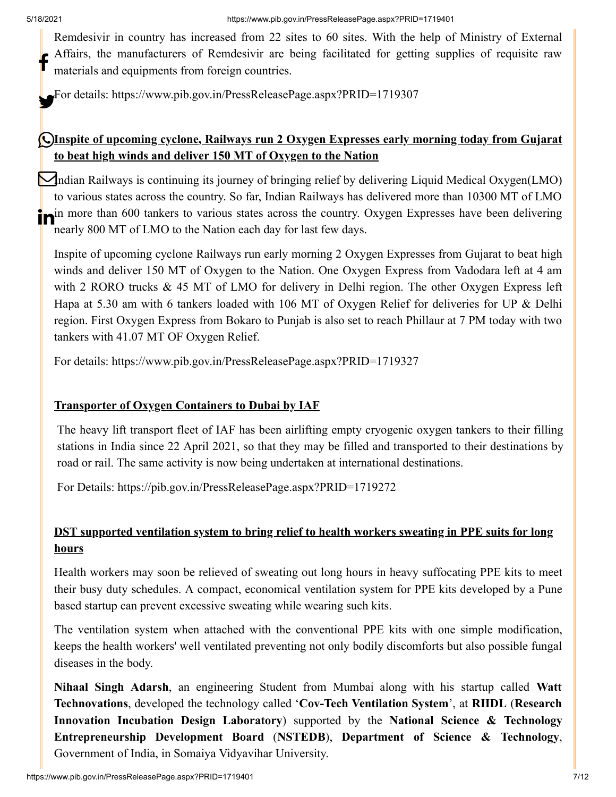Remdesivir in country has increased from 22 sites to 60 sites. With the help of Ministry of External Affairs, the manufacturers of Remdesivir are being facilitated for getting supplies of requisite raw materials and equipments from foreign countries. f

For details:<https://www.pib.gov.in/PressReleasePage.aspx?PRID=1719307>

### **Inspite of upcoming cyclone, Railways run 2 Oxygen Expresses early morning today from Gujarat to beat high winds and deliver 150 MT of Oxygen to the Nation**

Indian Railways is continuing its journey of bringing relief by delivering Liquid Medical Oxygen(LMO) to various states across the country. So far, Indian Railways has delivered more than 10300 MT of LMO in more than 600 tankers to various states across the country. Oxygen Expresses have been delivering nearly 800 MT of LMO to the Nation each day for last few days.

Inspite of upcoming cyclone Railways run early morning 2 Oxygen Expresses from Gujarat to beat high winds and deliver 150 MT of Oxygen to the Nation. One Oxygen Express from Vadodara left at 4 am with 2 RORO trucks & 45 MT of LMO for delivery in Delhi region. The other Oxygen Express left Hapa at 5.30 am with 6 tankers loaded with 106 MT of Oxygen Relief for deliveries for UP & Delhi region. First Oxygen Express from Bokaro to Punjab is also set to reach Phillaur at 7 PM today with two tankers with 41.07 MT OF Oxygen Relief.

For details:<https://www.pib.gov.in/PressReleasePage.aspx?PRID=1719327>

#### **Transporter of Oxygen Containers to Dubai by IAF**

The heavy lift transport fleet of IAF has been airlifting empty cryogenic oxygen tankers to their filling stations in India since 22 April 2021, so that they may be filled and transported to their destinations by road or rail. The same activity is now being undertaken at international destinations.

For Details: <https://pib.gov.in/PressReleasePage.aspx?PRID=1719272>

#### **DST supported ventilation system to bring relief to health workers sweating in PPE suits for long hours**

Health workers may soon be relieved of sweating out long hours in heavy suffocating PPE kits to meet their busy duty schedules. A compact, economical ventilation system for PPE kits developed by a Pune based startup can prevent excessive sweating while wearing such kits.

The ventilation system when attached with the conventional PPE kits with one simple modification, keeps the health workers' well ventilated preventing not only bodily discomforts but also possible fungal diseases in the body.

**Nihaal Singh Adarsh**, an engineering Student from Mumbai along with his startup called **Watt Technovations**, developed the technology called '**Cov-Tech Ventilation System**', at **RIIDL** (**Research Innovation Incubation Design Laboratory**) supported by the **National Science & Technology Entrepreneurship Development Board** (**NSTEDB**), **Department of Science & Technology**, Government of India, in Somaiya Vidyavihar University.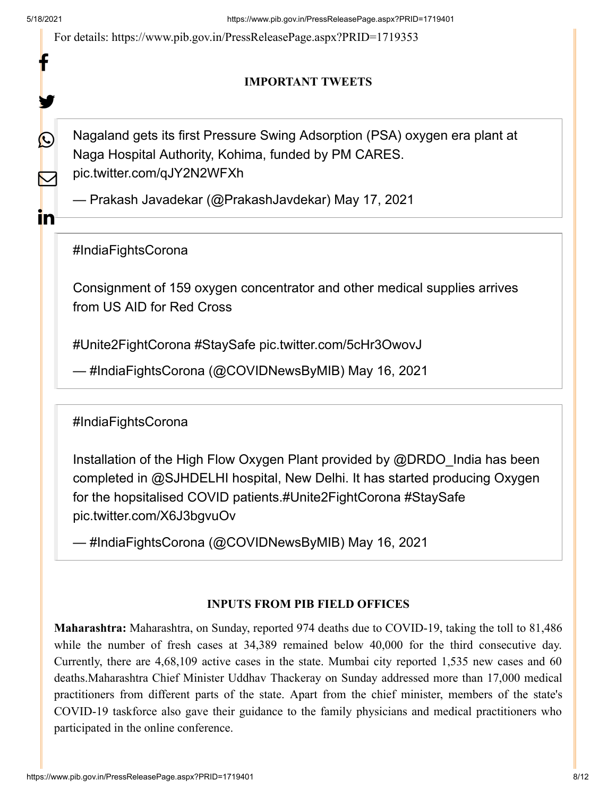t

y.

 $\bigcirc$ 

 $\color{red} \blacktriangleright$ 

in

For details:<https://www.pib.gov.in/PressReleasePage.aspx?PRID=1719353>

#### **IMPORTANT TWEETS**

Nagaland gets its first Pressure Swing Adsorption (PSA) oxygen era plant at Naga Hospital Authority, Kohima, funded by PM CARES. [pic.twitter.com/qJY2N2WFXh](https://t.co/qJY2N2WFXh)

— Prakash Javadekar (@PrakashJavdekar) [May 17, 2021](https://twitter.com/PrakashJavdekar/status/1394156374670462980?ref_src=twsrc%5Etfw)

[#IndiaFightsCorona](https://twitter.com/hashtag/IndiaFightsCorona?src=hash&ref_src=twsrc%5Etfw)

Consignment of 159 oxygen concentrator and other medical supplies arrives from US AID for Red Cross

[#Unite2FightCorona](https://twitter.com/hashtag/Unite2FightCorona?src=hash&ref_src=twsrc%5Etfw) [#StaySafe](https://twitter.com/hashtag/StaySafe?src=hash&ref_src=twsrc%5Etfw) [pic.twitter.com/5cHr3OwovJ](https://t.co/5cHr3OwovJ)

— #IndiaFightsCorona (@COVIDNewsByMIB) [May 16, 2021](https://twitter.com/COVIDNewsByMIB/status/1393975465266716673?ref_src=twsrc%5Etfw)

#### [#IndiaFightsCorona](https://twitter.com/hashtag/IndiaFightsCorona?src=hash&ref_src=twsrc%5Etfw)

Installation of the High Flow Oxygen Plant provided by @DRDO India has been completed in [@SJHDELHI](https://twitter.com/SJHDELHI?ref_src=twsrc%5Etfw) hospital, New Delhi. It has started producing Oxygen for the hopsitalised COVID patients.[#Unite2FightCorona](https://twitter.com/hashtag/Unite2FightCorona?src=hash&ref_src=twsrc%5Etfw) [#StaySafe](https://twitter.com/hashtag/StaySafe?src=hash&ref_src=twsrc%5Etfw) [pic.twitter.com/X6J3bgvuOv](https://t.co/X6J3bgvuOv)

— #IndiaFightsCorona (@COVIDNewsByMIB) [May 16, 2021](https://twitter.com/COVIDNewsByMIB/status/1393921325744328710?ref_src=twsrc%5Etfw)

#### **INPUTS FROM PIB FIELD OFFICES**

**Maharashtra:** Maharashtra, on Sunday, reported 974 deaths due to COVID-19, taking the toll to 81,486 while the number of fresh cases at 34,389 remained below 40,000 for the third consecutive day. Currently, there are 4,68,109 active cases in the state. Mumbai city reported 1,535 new cases and 60 deaths.Maharashtra Chief Minister Uddhav Thackeray on Sunday addressed more than 17,000 medical practitioners from different parts of the state. Apart from the chief minister, members of the state's COVID-19 taskforce also gave their guidance to the family physicians and medical practitioners who participated in the online conference.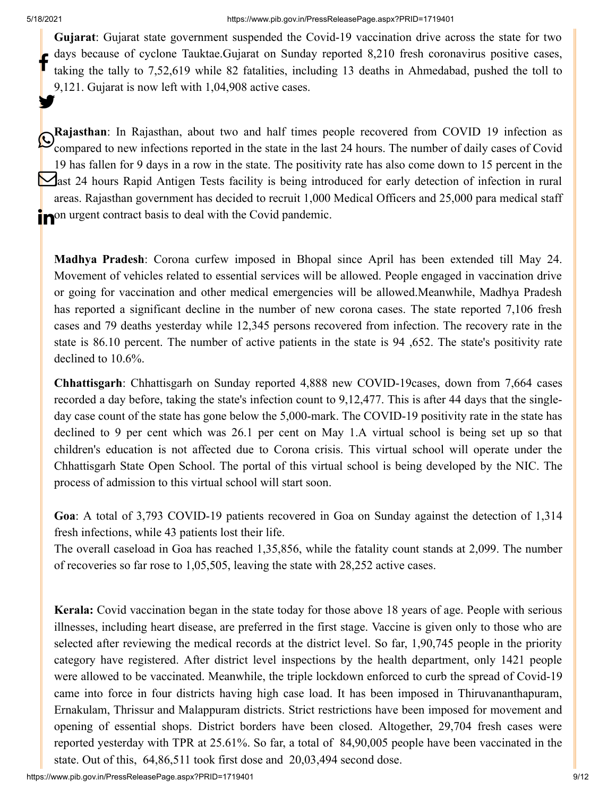**Gujarat**: Gujarat state government suspended the Covid-19 vaccination drive across the state for two days because of cyclone Tauktae.Gujarat on Sunday reported 8,210 fresh coronavirus positive cases, taking the tally to 7,52,619 while 82 fatalities, including 13 deaths in Ahmedabad, pushed the toll to 9,121. Gujarat is now left with 1,04,908 active cases. f y

**Rajasthan**: In Rajasthan, about two and half times people recovered from COVID 19 infection as<br>Compared to new infections reported in the state in the last 24 hours. The number of daily cases of Covid compared to new infections reported in the state in the last 24 hours. The number of daily cases of Covid 19 has fallen for 9 days in a row in the state. The positivity rate has also come down to 15 percent in the ast 24 hours Rapid Antigen Tests facility is being introduced for early detection of infection in rural areas. Rajasthan government has decided to recruit 1,000 Medical Officers and 25,000 para medical staff in on urgent contract basis to deal with the Covid pandemic.

**Madhya Pradesh**: Corona curfew imposed in Bhopal since April has been extended till May 24. Movement of vehicles related to essential services will be allowed. People engaged in vaccination drive or going for vaccination and other medical emergencies will be allowed.Meanwhile, Madhya Pradesh has reported a significant decline in the number of new corona cases. The state reported 7,106 fresh cases and 79 deaths yesterday while 12,345 persons recovered from infection. The recovery rate in the state is 86.10 percent. The number of active patients in the state is 94 ,652. The state's positivity rate declined to 10.6%.

**Chhattisgarh**: Chhattisgarh on Sunday reported 4,888 new COVID-19cases, down from 7,664 cases recorded a day before, taking the state's infection count to 9,12,477. This is after 44 days that the singleday case count of the state has gone below the 5,000-mark. The COVID-19 positivity rate in the state has declined to 9 per cent which was 26.1 per cent on May 1.A virtual school is being set up so that children's education is not affected due to Corona crisis. This virtual school will operate under the Chhattisgarh State Open School. The portal of this virtual school is being developed by the NIC. The process of admission to this virtual school will start soon.

**Goa**: A total of 3,793 COVID-19 patients recovered in Goa on Sunday against the detection of 1,314 fresh infections, while 43 patients lost their life.

The overall caseload in Goa has reached 1,35,856, while the fatality count stands at 2,099. The number of recoveries so far rose to 1,05,505, leaving the state with 28,252 active cases.

**Kerala:** Covid vaccination began in the state today for those above 18 years of age. People with serious illnesses, including heart disease, are preferred in the first stage. Vaccine is given only to those who are selected after reviewing the medical records at the district level. So far, 1,90,745 people in the priority category have registered. After district level inspections by the health department, only 1421 people were allowed to be vaccinated. Meanwhile, the triple lockdown enforced to curb the spread of Covid-19 came into force in four districts having high case load. It has been imposed in Thiruvananthapuram, Ernakulam, Thrissur and Malappuram districts. Strict restrictions have been imposed for movement and opening of essential shops. District borders have been closed. Altogether, 29,704 fresh cases were reported yesterday with TPR at 25.61%. So far, a total of 84,90,005 people have been vaccinated in the state. Out of this, 64,86,511 took first dose and 20,03,494 second dose.

https://www.pib.gov.in/PressReleasePage.aspx?PRID=1719401 9/12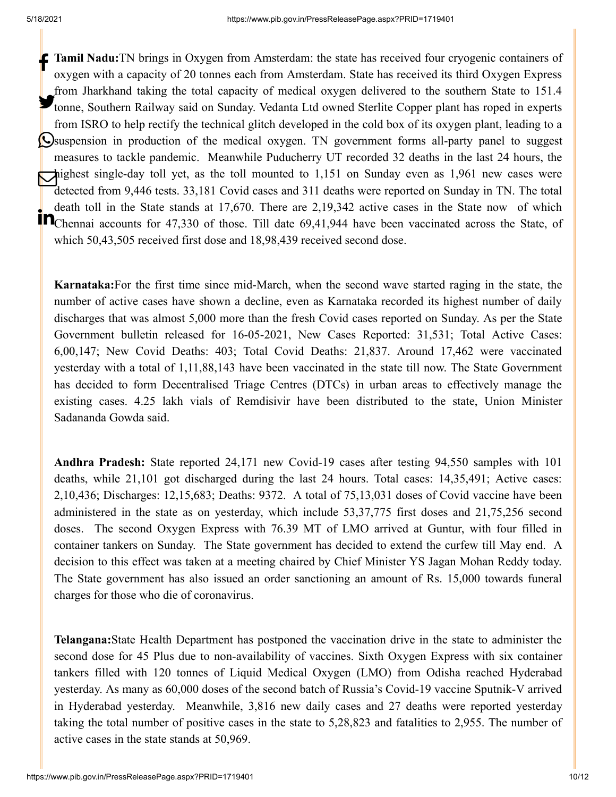**Tamil Nadu:**TN brings in Oxygen from Amsterdam: the state has received four cryogenic containers of oxygen with a capacity of 20 tonnes each from Amsterdam. State has received its third Oxygen Express from Jharkhand taking the total capacity of medical oxygen delivered to the southern State to 151.4 Thom sharkhand taking the total capacity of incurear oxygen derivered to the southern Blate to 151.4 from ISRO to help rectify the technical glitch developed in the cold box of its oxygen plant, leading to a Osuspension in production of the medical oxygen. TN government forms all-party panel to suggest measures to tackle pandemic. Meanwhile Puducherry UT recorded 32 deaths in the last 24 hours, the highest single-day toll yet, as the toll mounted to  $1,151$  on Sunday even as  $1,961$  new cases were detected from 9,446 tests. 33,181 Covid cases and 311 deaths were reported on Sunday in TN. The total death toll in the State stands at 17,670. There are 2,19,342 active cases in the State now of which Chennai accounts for 47,330 of those. Till date 69,41,944 have been vaccinated across the State, of which 50,43,505 received first dose and 18,98,439 received second dose. f

**Karnataka:**For the first time since mid-March, when the second wave started raging in the state, the number of active cases have shown a decline, even as Karnataka recorded its highest number of daily discharges that was almost 5,000 more than the fresh Covid cases reported on Sunday. As per the State Government bulletin released for 16-05-2021, New Cases Reported: 31,531; Total Active Cases: 6,00,147; New Covid Deaths: 403; Total Covid Deaths: 21,837. Around 17,462 were vaccinated yesterday with a total of 1,11,88,143 have been vaccinated in the state till now. The State Government has decided to form Decentralised Triage Centres (DTCs) in urban areas to effectively manage the existing cases. 4.25 lakh vials of Remdisivir have been distributed to the state, Union Minister Sadananda Gowda said.

**Andhra Pradesh:** State reported 24,171 new Covid-19 cases after testing 94,550 samples with 101 deaths, while 21,101 got discharged during the last 24 hours. Total cases: 14,35,491; Active cases: 2,10,436; Discharges: 12,15,683; Deaths: 9372. A total of 75,13,031 doses of Covid vaccine have been administered in the state as on yesterday, which include 53,37,775 first doses and 21,75,256 second doses. The second Oxygen Express with 76.39 MT of LMO arrived at Guntur, with four filled in container tankers on Sunday. The State government has decided to extend the curfew till May end. A decision to this effect was taken at a meeting chaired by Chief Minister YS Jagan Mohan Reddy today. The State government has also issued an order sanctioning an amount of Rs. 15,000 towards funeral charges for those who die of coronavirus.

**Telangana:**State Health Department has postponed the vaccination drive in the state to administer the second dose for 45 Plus due to non-availability of vaccines. Sixth Oxygen Express with six container tankers filled with 120 tonnes of Liquid Medical Oxygen (LMO) from Odisha reached Hyderabad yesterday. As many as 60,000 doses of the second batch of Russia's Covid-19 vaccine Sputnik-V arrived in Hyderabad yesterday. Meanwhile, 3,816 new daily cases and 27 deaths were reported yesterday taking the total number of positive cases in the state to 5,28,823 and fatalities to 2,955. The number of active cases in the state stands at 50,969.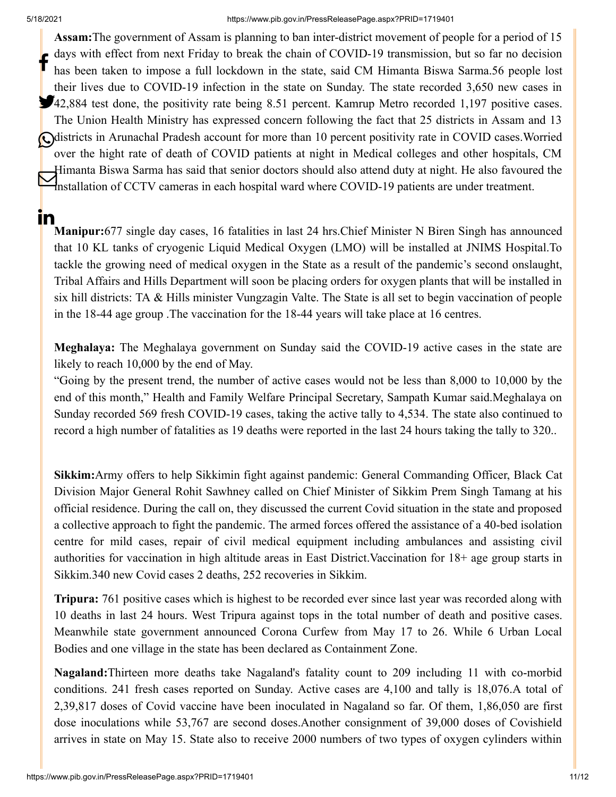#### 5/18/2021 https://www.pib.gov.in/PressReleasePage.aspx?PRID=1719401

**Assam:**The government of Assam is planning to ban inter-district movement of people for a period of 15 days with effect from next Friday to break the chain of COVID-19 transmission, but so far no decision has been taken to impose a full lockdown in the state, said CM Himanta Biswa Sarma.56 people lost their lives due to COVID-19 infection in the state on Sunday. The state recorded 3,650 new cases in 42,884 test done, the positivity rate being 8.51 percent. Kamrup Metro recorded 1,197 positive cases. The Union Health Ministry has expressed concern following the fact that 25 districts in Assam and 13 districts in Arunachal Pradesh account for more than 10 percent positivity rate in COVID cases.Worried over the hight rate of death of COVID patients at night in Medical colleges and other hospitals, CM Himanta Biswa Sarma has said that senior doctors should also attend duty at night. He also favoured the Filmania Biswa Sarma has said that senior doctors should also attend duty at hight. He also lavoure<br>Installation of CCTV cameras in each hospital ward where COVID-19 patients are under treatment. f

**Manipur:**677 single day cases, 16 fatalities in last 24 hrs.Chief Minister N Biren Singh has announced that 10 KL tanks of cryogenic Liquid Medical Oxygen (LMO) will be installed at JNIMS Hospital.To tackle the growing need of medical oxygen in the State as a result of the pandemic's second onslaught, Tribal Affairs and Hills Department will soon be placing orders for oxygen plants that will be installed in six hill districts: TA & Hills minister Vungzagin Valte. The State is all set to begin vaccination of people in the 18-44 age group .The vaccination for the 18-44 years will take place at 16 centres. <u>in</u>

**Meghalaya:** The Meghalaya government on Sunday said the COVID-19 active cases in the state are likely to reach 10,000 by the end of May.

"Going by the present trend, the number of active cases would not be less than 8,000 to 10,000 by the end of this month," Health and Family Welfare Principal Secretary, Sampath Kumar said.Meghalaya on Sunday recorded 569 fresh COVID-19 cases, taking the active tally to 4,534. The state also continued to record a high number of fatalities as 19 deaths were reported in the last 24 hours taking the tally to 320..

**Sikkim:**Army offers to help Sikkimin fight against pandemic: General Commanding Officer, Black Cat Division Major General Rohit Sawhney called on Chief Minister of Sikkim Prem Singh Tamang at his official residence. During the call on, they discussed the current Covid situation in the state and proposed a collective approach to fight the pandemic. The armed forces offered the assistance of a 40-bed isolation centre for mild cases, repair of civil medical equipment including ambulances and assisting civil authorities for vaccination in high altitude areas in East District.Vaccination for 18+ age group starts in Sikkim.340 new Covid cases 2 deaths, 252 recoveries in Sikkim.

**Tripura:** 761 positive cases which is highest to be recorded ever since last year was recorded along with 10 deaths in last 24 hours. West Tripura against tops in the total number of death and positive cases. Meanwhile state government announced Corona Curfew from May 17 to 26. While 6 Urban Local Bodies and one village in the state has been declared as Containment Zone.

**Nagaland:**Thirteen more deaths take Nagaland's fatality count to 209 including 11 with co-morbid conditions. 241 fresh cases reported on Sunday. Active cases are 4,100 and tally is 18,076.A total of 2,39,817 doses of Covid vaccine have been inoculated in Nagaland so far. Of them, 1,86,050 are first dose inoculations while 53,767 are second doses.Another consignment of 39,000 doses of Covishield arrives in state on May 15. State also to receive 2000 numbers of two types of oxygen cylinders within